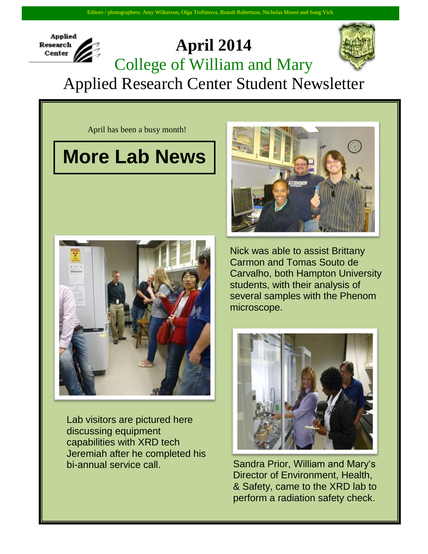## **Applied April 2014 Research** Center College of William and Mary Applied Research Center Student Newsletter

April has been a busy month!

## **More Lab News**



Lab visitors are pictured here discussing equipment capabilities with XRD tech Jeremiah after he completed his bi-annual service call.



Nick was able to assist Brittany Carmon and Tomas Souto de Carvalho, both Hampton University students, with their analysis of several samples with the Phenom microscope.



Sandra Prior, William and Mary's Director of Environment, Health, & Safety, came to the XRD lab to perform a radiation safety check.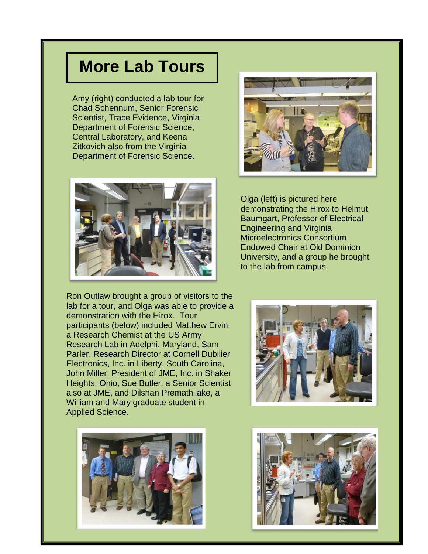## **More Lab Tours**

Amy (right) conducted a lab tour for Chad Schennum, Senior Forensic Scientist, Trace Evidence, Virginia Department of Forensic Science, Central Laboratory, and Keena Zitkovich also from the Virginia Department of Forensic Science.



Olga (left) is pictured here demonstrating the Hirox to Helmut Baumgart, Professor of Electrical Engineering and Virginia Microelectronics Consortium Endowed Chair at Old Dominion University, and a group he brought to the lab from campus.

Ron Outlaw brought a group of visitors to the lab for a tour, and Olga was able to provide a demonstration with the Hirox. Tour participants (below) included Matthew Ervin, a Research Chemist at the US Army Research Lab in Adelphi, Maryland, Sam Parler, Research Director at Cornell Dubilier Electronics, Inc. in Liberty, South Carolina, John Miller, President of JME, Inc. in Shaker Heights, Ohio, Sue Butler, a Senior Scientist also at JME, and Dilshan Premathilake, a William and Mary graduate student in Applied Science.